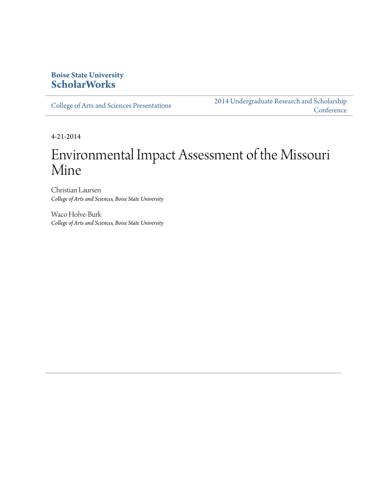#### **Boise State University [ScholarWorks](http://scholarworks.boisestate.edu)**

[College of Arts and Sciences Presentations](http://scholarworks.boisestate.edu/as_14)

[2014 Undergraduate Research and Scholarship](http://scholarworks.boisestate.edu/2014_under_conf) **[Conference](http://scholarworks.boisestate.edu/2014_under_conf)** 

4-21-2014

#### Environmental Impact Assessment of the Missouri Mine

Christian Laursen *College of Arts and Sciences, Boise State University*

Waco Holve-Burk *College of Arts and Sciences, Boise State University*